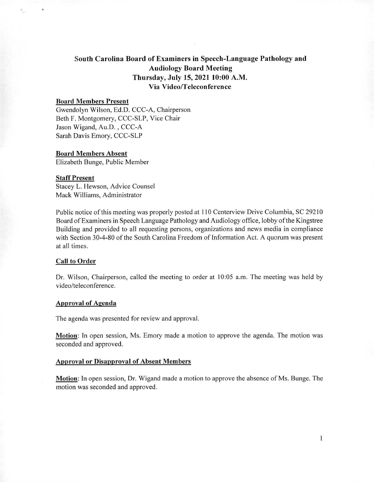# **South Carolina Board of Examiners in Speech-Language Pathology and Audiology Board Meeting Thursday, July 15, 2021 10:00 A.M. Via Video/Teleconference**

# **Board Members Present**

Gwendolyn Wilson, Ed.D. CCC-A, Chairperson Beth F. Montgomery, CCC-SLP, Vice Chair Jason Wigand, Au.D. , CCC-A Sarah Davis Emory, CCC-SLP

# **Board Members Absent**

Elizabeth Bunge, Public Member

#### **Staff Present**

Stacey L. Hewson, Advice Counsel Mack Williams, Administrator

Public notice of this meeting was properly posted at 110 Centerview Drive Columbia, SC 29210 Board of Examiners in Speech Language Pathology and Audiology office, lobby of the Kingstree Building and provided to all requesting persons, organizations and news media in compliance with Section 30-4-80 of the South Carolina Freedom of Information Act. A quorum was present at all times.

## **Call to Order**

Dr. Wilson, Chairperson, called the meeting to order at 10:05 a.m. The meeting was held by video/teleconference.

#### **Approval of Agenda**

The agenda was presented for review and approval.

**Motion.** In open session, Ms. Emory made a motion to approve the agenda. The motion was seconded and approved.

## **Approval or Disapproval of Absent Members**

**Motion:** In open session, Dr. Wigand made a motion to approve the absence of Ms. Bunge. The motion was seconded and approved.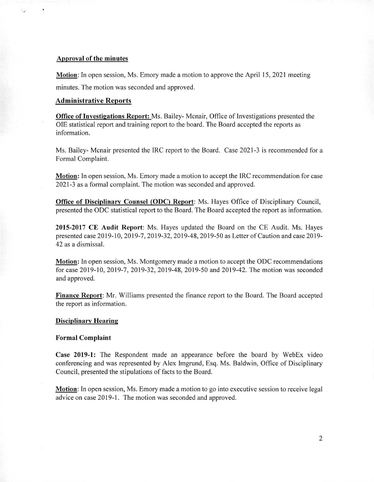## **Approval of the minutes**

 $\mathbf{L}$ 

**Motion:** In open session, Ms. Emory made a motion to approve the April 15, 2021 meeting minutes. The motion was seconded and approved.

# **Administrative Reports**

**Office of Investigations Report:** Ms. Bailey- Mcnair, Office of Investigations presented the OIE statistical report and training report to the board. The Board accepted the reports as information.

Ms. Bailey- Mcnair presented the IRC report to the Board. Case 2021-3 is recommended for a Formal Complaint.

**Motion:** In open session, Ms. Emory made a motion to accept the IRC recommendation for case 2021-3 as a formal complaint. The motion was seconded and approved.

**Office of Disciplinary Counsel (ODC) Report:** Ms. Hayes Office of Disciplinary Council, presented the ODC statistical report to the Board. The Board accepted the report as information.

**2015-2017 CE Audit Report:** Ms. Hayes updated the Board on the CE Audit. Ms. Hayes presented case 2019-10, 2019-7, 2019-32, 2019-48, 2019-50 as Letter of Caution and case 2019- 42 as a dismissal.

**Motion:** In open session, Ms. Montgomery made a motion to accept the ODC recommendations for case 2019-10, 2019-7, 2019-32, 2019-48, 2019-50 and 2019-42. The motion was seconded and approved.

**Finance Report:** Mr. Williams presented the finance report to the Board. The Board accepted the report as information.

#### **Disciplinary Hearing**

### **Formal Complaint**

**Case 2019-1: The** Respondent made an appearance before the board by WebEx video conferencing and was represented by Alex Imgrund, Esq. Ms. Baldwin, Office of Disciplinary Council, presented the stipulations of facts to the Board.

**Motion:** In open session, Ms. Emory made a motion to go into executive session to receive legal advice on case 2019-1. The motion was seconded and approved.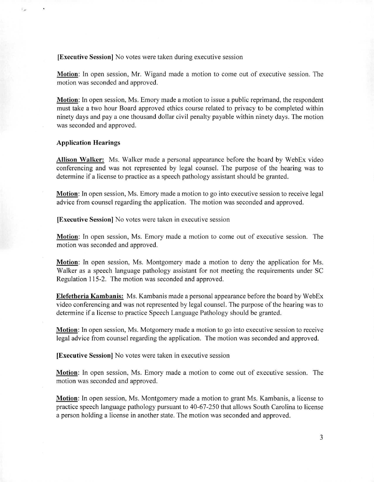**[Executive Session]** No votes were taken during executive session

**Motion:** In open session, Mr. Wigand made a motion to come out of executive session. The motion was seconded and approved.

**Motion:** In open session, Ms. Emory made a motion to issue a public reprimand, the respondent must take a two hour Board approved ethics course related to privacy to be completed within ninety days and pay a one thousand dollar civil penalty payable within ninety days. The motion was seconded and approved.

#### **Application Hearings**

**Allison Walker:** Ms. Walker made a personal appearance before the board by WebEx video conferencing and was not represented by legal counsel. The purpose of the hearing was to determine if a license to practice as a speech pathology assistant should be granted.

**Motion:** In open session, Ms. Emory made a motion to go into executive session to receive legal advice from counsel regarding the application. The motion was seconded and approved.

**[Executive Session]** No votes were taken in executive session

**Motion:** In open session, Ms. Emory made a motion to come out of executive session. The motion was seconded and approved.

**Motion:** In open session, Ms. Montgomery made a motion to deny the application for Ms. Walker as a speech language pathology assistant for not meeting the requirements under SC Regulation 115-2. The motion was seconded and approved.

**Elefetheria Kambanis:** Ms. Kambanis made a personal appearance before the board by WebEx video conferencing and was not represented by legal counsel. The purpose of the hearing was to determine if a license to practice Speech Language Pathology should be granted.

**Motion:** In open session, Ms. Motgomery made a motion to go into executive session to receive legal advice from counsel regarding the application. The motion was seconded and approved.

**[Executive Session]** No votes were taken in executive session

**Motion:** In open session, Ms. Emory made a motion to come out of executive session. The motion was seconded and approved.

**Motion:** In open session, Ms. Montgomery made a motion to grant Ms. Kambanis, a license to practice speech language pathology pursuant to 40-67-250 that allows South Carolina to license a person holding a license in another state. The motion was seconded and approved.

3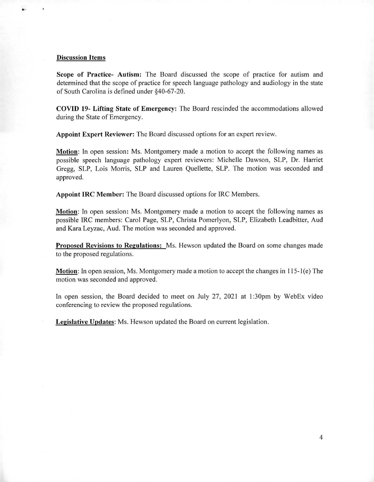#### **Discussion Items**

a-

**Scope of Practice- Autism:** The Board discussed the scope of practice for autism and determined that the scope of practice for speech language pathology and audiology in the state of South Carolina is defined under §40-67-20.

**COVID 19- Lifting State of Emergency: The Board rescinded** the accommodations allowed during the State of Emergency.

**Appoint Expert Reviewer:** The Board discussed options for an expert review.

**Motion:** In open session: Ms. Montgomery made a motion to accept the following names as possible speech language pathology expert reviewers: Michelle Dawson, SLP, Dr. Harriet Gregg, SLP, Lois Morris, SLP and Lauren Quellette, SLP. The motion was seconded and approved.

**Appoint IRC Member: The Board** discussed options for IRC Members.

**Motion.** In open session: Ms. Montgomery made a motion to accept the following names as possible IRC members: Carol Page, SLP, Christa Pomerlyon, SLP, Elizabeth Leadbitter, Aud and Kara Leyzac, Aud. The motion was seconded and approved.

**Proposed Revisions to Regulations:** Ms. Hewson updated the Board on some changes made to the proposed regulations.

**Motion:** In open session, Ms. Montgomery made a motion to accept the changes in 115-1(e) The motion was seconded and approved.

In open session, the Board decided to meet on July 27, 2021 at I :30pm by WebEx video conferencing to review the proposed regulations.

**Legislative Updates:** Ms. Hewson updated the Board on current legislation.